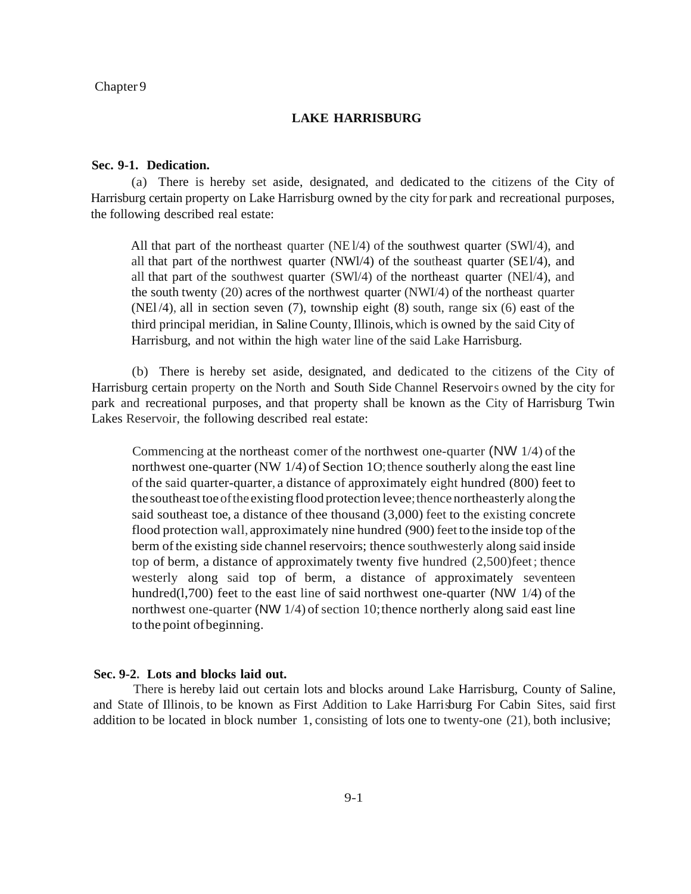Chapter 9

## **LAKE HARRISBURG**

## **Sec. 9-1. Dedication.**

(a) There is hereby set aside, designated, and dedicated to the citizens of the City of Harrisburg certain property on Lake Harrisburg owned by the city for park and recreational purposes, the following described real estate:

All that part of the northeast quarter ( $NE1/4$ ) of the southwest quarter ( $SW1/4$ ), and all that part of the northwest quarter (NWl/4) of the southeast quarter (SEl/4), and all that part of the southwest quarter (SWl/4) of the northeast quarter (NEl/4), and the south twenty (20) acres of the northwest quarter (NWI/4) of the northeast quarter  $(NE1/4)$ , all in section seven (7), township eight (8) south, range six (6) east of the third principal meridian, in Saline County, Illinois, which is owned by the said City of Harrisburg, and not within the high water line of the said Lake Harrisburg.

(b) There is hereby set aside, designated, and dedicated to the citizens of the City of Harrisburg certain property on the North and South Side Channel Reservoirs owned by the city for park and recreational purposes, and that property shall be known as the City of Harrisburg Twin Lakes Reservoir, the following described real estate:

Commencing at the northeast comer of the northwest one-quarter (NW 1/4) of the northwest one-quarter (NW  $1/4$ ) of Section 10; thence southerly along the east line of the said quarter-quarter, a distance of approximately eight hundred (800) feet to the southeast toe of the existing flood protection levee; thence northeasterly along the said southeast toe, a distance of thee thousand (3,000) feet to the existing concrete flood protection wall, approximately nine hundred (900) feet to the inside top ofthe berm of the existing side channel reservoirs; thence southwesterly along said inside top of berm, a distance of approximately twenty five hundred (2,500)feet; thence westerly along said top of berm, a distance of approximately seventeen hundred(1,700) feet to the east line of said northwest one-quarter (NW  $1/4$ ) of the northwest one-quarter (NW  $1/4$ ) of section 10; thence northerly along said east line to the point ofbeginning.

### **Sec. 9-2. Lots and blocks laid out.**

There is hereby laid out certain lots and blocks around Lake Harrisburg, County of Saline, and State of Illinois, to be known as First Addition to Lake Harrisburg For Cabin Sites, said first addition to be located in block number 1, consisting of lots one to twenty-one (21), both inclusive;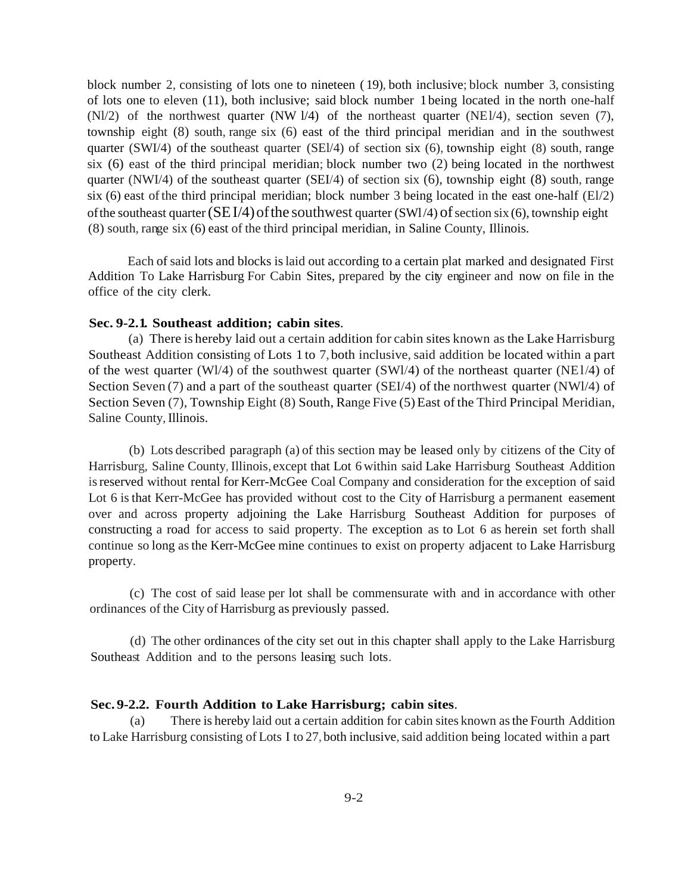block number 2, consisting of lots one to nineteen ( 19), both inclusive; block number 3, consisting of lots one to eleven (11), both inclusive; said block number 1 being located in the north one-half (Nl/2) of the northwest quarter (NW l/4) of the northeast quarter (NEl/4), section seven (7), township eight (8) south, range six (6) east of the third principal meridian and in the southwest quarter (SWI/4) of the southeast quarter (SEI/4) of section six  $(6)$ , township eight  $(8)$  south, range six (6) east of the third principal meridian; block number two (2) being located in the northwest quarter (NWI/4) of the southeast quarter (SEI/4) of section six (6), township eight (8) south, range six (6) east of the third principal meridian; block number 3 being located in the east one-half  $(E1/2)$ of the southeast quarter  $(SEI/4)$  of the southwest quarter  $(SWI/4)$  of section six (6), township eight (8) south, range six (6) east of the third principal meridian, in Saline County, Illinois.

Each of said lots and blocks islaid out according to a certain plat marked and designated First Addition To Lake Harrisburg For Cabin Sites, prepared by the city engineer and now on file in the office of the city clerk.

## **Sec. 9-2.1. Southeast addition; cabin sites**.

(a) There is hereby laid out a certain addition for cabin sites known as the Lake Harrisburg Southeast Addition consisting of Lots 1 to 7, both inclusive, said addition be located within a part of the west quarter (WI/4) of the southwest quarter (SWI/4) of the northeast quarter (NEI/4) of Section Seven (7) and a part of the southeast quarter (SEI/4) of the northwest quarter (NWl/4) of Section Seven (7), Township Eight (8) South, Range Five (5) East of the Third Principal Meridian, Saline County, Illinois.

(b) Lots described paragraph (a) of this section may be leased only by citizens of the City of Harrisburg, Saline County, Illinois, except that Lot 6 within said Lake Harrisburg Southeast Addition isreserved without rental for Kerr-McGee Coal Company and consideration for the exception of said Lot 6 is that Kerr-McGee has provided without cost to the City of Harrisburg a permanent easement over and across property adjoining the Lake Harrisburg Southeast Addition for purposes of constructing a road for access to said property. The exception as to Lot 6 as herein set forth shall continue so long asthe Kerr-McGee mine continues to exist on property adjacent to Lake Harrisburg property.

(c) The cost of said lease per lot shall be commensurate with and in accordance with other ordinances of the City of Harrisburg as previously passed.

(d) The other ordinances of the city set out in this chapter shall apply to the Lake Harrisburg Southeast Addition and to the persons leasing such lots.

# **Sec. 9-2.2. Fourth Addition to Lake Harrisburg; cabin sites**.

(a) There is hereby laid out a certain addition for cabin sites known asthe Fourth Addition to Lake Harrisburg consisting of Lots I to 27, both inclusive, said addition being located within a part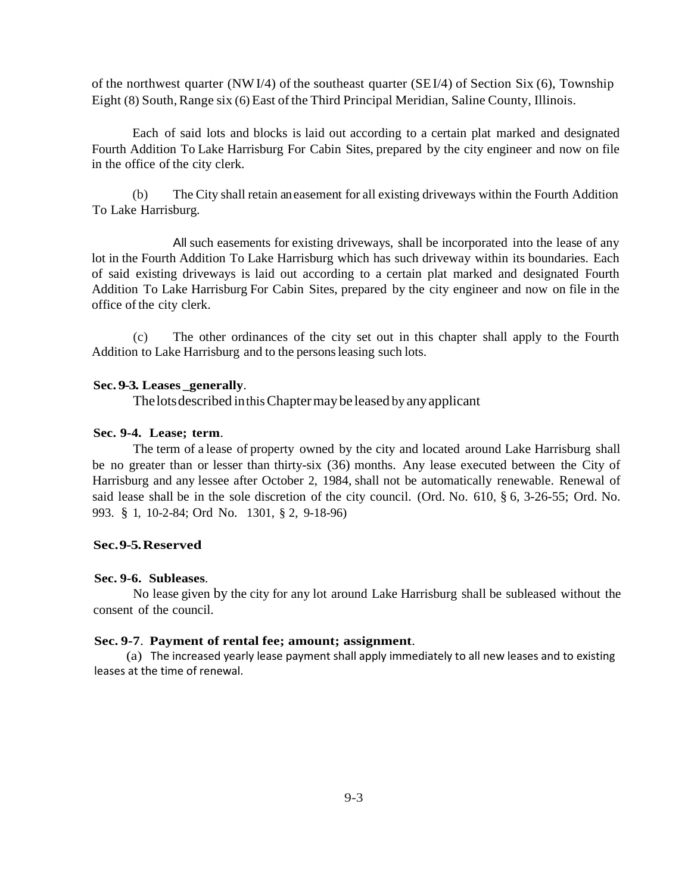of the northwest quarter (NWI/4) of the southeast quarter (SEI/4) of Section Six (6), Township Eight (8) South, Range six (6) East of the Third Principal Meridian, Saline County, Illinois.

Each of said lots and blocks is laid out according to a certain plat marked and designated Fourth Addition To Lake Harrisburg For Cabin Sites, prepared by the city engineer and now on file in the office of the city clerk.

(b) The City shall retain aneasement for all existing driveways within the Fourth Addition To Lake Harrisburg.

All such easements for existing driveways, shall be incorporated into the lease of any lot in the Fourth Addition To Lake Harrisburg which has such driveway within its boundaries. Each of said existing driveways is laid out according to a certain plat marked and designated Fourth Addition To Lake Harrisburg For Cabin Sites, prepared by the city engineer and now on file in the office of the city clerk.

(c) The other ordinances of the city set out in this chapter shall apply to the Fourth Addition to Lake Harrisburg and to the persons leasing such lots.

# **Sec. 9-3. Leases \_generally**.

Thelotsdescribed inthisChaptermay be leased by anyapplicant

### **Sec. 9-4. Lease; term**.

The term of a lease of property owned by the city and located around Lake Harrisburg shall be no greater than or lesser than thirty-six (36) months. Any lease executed between the City of Harrisburg and any lessee after October 2, 1984, shall not be automatically renewable. Renewal of said lease shall be in the sole discretion of the city council. (Ord. No. 610, § 6, 3-26-55; Ord. No. 993. § 1, 10-2-84; Ord No. 1301, § 2, 9-18-96)

### **Sec.9-5.Reserved**

### **Sec. 9-6. Subleases**.

No lease given by the city for any lot around Lake Harrisburg shall be subleased without the consent of the council.

#### **Sec. 9-7**. **Payment of rental fee; amount; assignment**.

(a) The increased yearly lease payment shall apply immediately to all new leases and to existing leases at the time of renewal.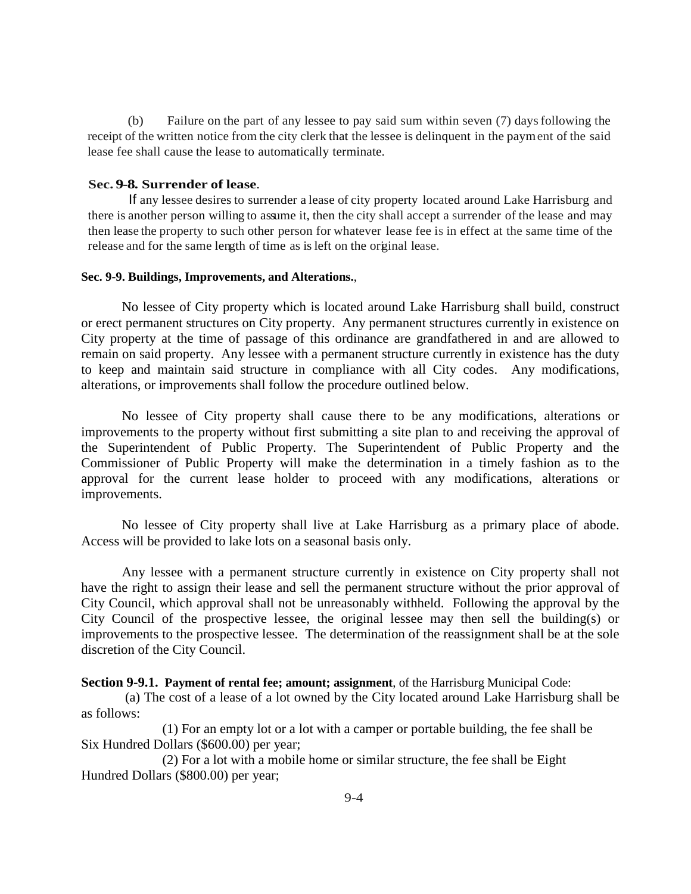(b) Failure on the part of any lessee to pay said sum within seven (7) daysfollowing the receipt of the written notice from the city clerk that the lessee is delinquent in the payment of the said lease fee shall cause the lease to automatically terminate.

### **Sec. 9-8. Surrender of lease**.

If any lessee desires to surrender a lease of city property located around Lake Harrisburg and there is another person willing to assume it, then the city shall accept a surrender of the lease and may then lease the property to such other person for whatever lease fee is in effect at the same time of the release and for the same length of time as is left on the original lease.

### **Sec. 9-9. Buildings, Improvements, and Alterations.**,

No lessee of City property which is located around Lake Harrisburg shall build, construct or erect permanent structures on City property. Any permanent structures currently in existence on City property at the time of passage of this ordinance are grandfathered in and are allowed to remain on said property. Any lessee with a permanent structure currently in existence has the duty to keep and maintain said structure in compliance with all City codes. Any modifications, alterations, or improvements shall follow the procedure outlined below.

No lessee of City property shall cause there to be any modifications, alterations or improvements to the property without first submitting a site plan to and receiving the approval of the Superintendent of Public Property. The Superintendent of Public Property and the Commissioner of Public Property will make the determination in a timely fashion as to the approval for the current lease holder to proceed with any modifications, alterations or improvements.

No lessee of City property shall live at Lake Harrisburg as a primary place of abode. Access will be provided to lake lots on a seasonal basis only.

Any lessee with a permanent structure currently in existence on City property shall not have the right to assign their lease and sell the permanent structure without the prior approval of City Council, which approval shall not be unreasonably withheld. Following the approval by the City Council of the prospective lessee, the original lessee may then sell the building(s) or improvements to the prospective lessee. The determination of the reassignment shall be at the sole discretion of the City Council.

**Section 9-9.1. Payment of rental fee; amount; assignment**, of the Harrisburg Municipal Code:

(a) The cost of a lease of a lot owned by the City located around Lake Harrisburg shall be as follows:

(1) For an empty lot or a lot with a camper or portable building, the fee shall be Six Hundred Dollars (\$600.00) per year;

(2) For a lot with a mobile home or similar structure, the fee shall be Eight Hundred Dollars (\$800.00) per year;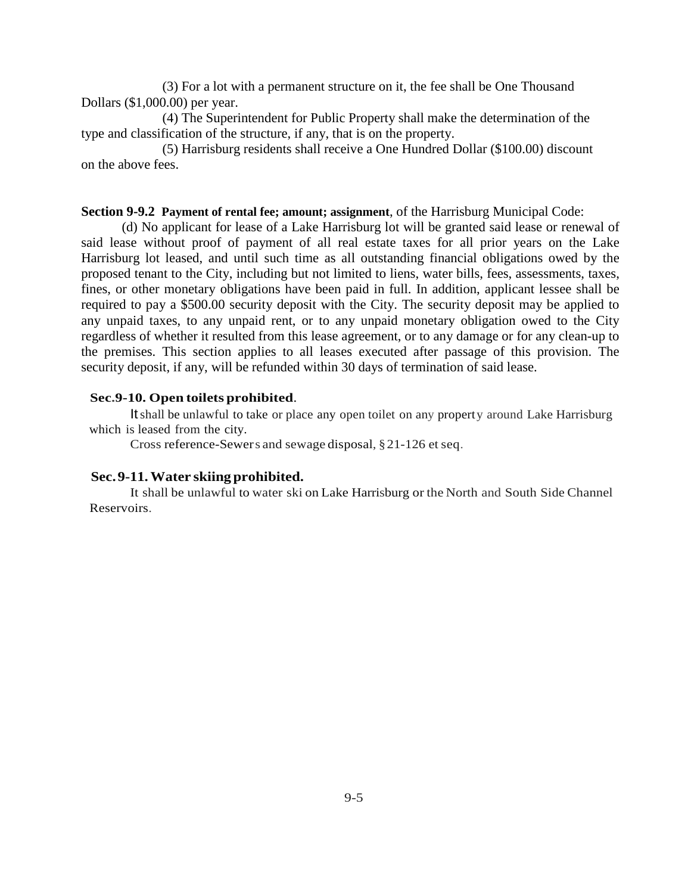(3) For a lot with a permanent structure on it, the fee shall be One Thousand Dollars (\$1,000.00) per year.

(4) The Superintendent for Public Property shall make the determination of the type and classification of the structure, if any, that is on the property.

(5) Harrisburg residents shall receive a One Hundred Dollar (\$100.00) discount on the above fees.

## **Section 9-9.2 Payment of rental fee; amount; assignment**, of the Harrisburg Municipal Code:

(d) No applicant for lease of a Lake Harrisburg lot will be granted said lease or renewal of said lease without proof of payment of all real estate taxes for all prior years on the Lake Harrisburg lot leased, and until such time as all outstanding financial obligations owed by the proposed tenant to the City, including but not limited to liens, water bills, fees, assessments, taxes, fines, or other monetary obligations have been paid in full. In addition, applicant lessee shall be required to pay a \$500.00 security deposit with the City. The security deposit may be applied to any unpaid taxes, to any unpaid rent, or to any unpaid monetary obligation owed to the City regardless of whether it resulted from this lease agreement, or to any damage or for any clean-up to the premises. This section applies to all leases executed after passage of this provision. The security deposit, if any, will be refunded within 30 days of termination of said lease.

# **Sec.9-10. Open toilets prohibited**.

Itshall be unlawful to take or place any open toilet on any property around Lake Harrisburg which is leased from the city.

Cross reference-Sewers and sewage disposal, §21-126 et seq.

#### **Sec.9-11.Water skiing prohibited.**

It shall be unlawful to water ski on Lake Harrisburg or the North and South Side Channel Reservoirs.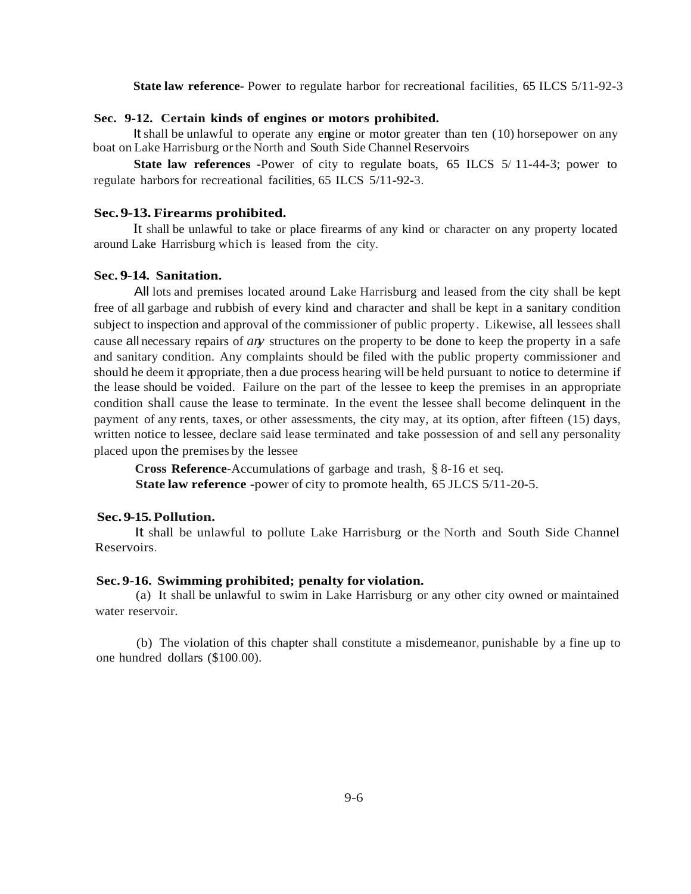**State law reference**- Power to regulate harbor for recreational facilities, 65 ILCS 5/11-92-3

# **Sec. 9-12. Certain kinds of engines or motors prohibited.**

It shall be unlawful to operate any engine or motor greater than ten (10) horsepower on any boat on Lake Harrisburg orthe North and South Side Channel Reservoirs

**State law references** -Power of city to regulate boats, 65 ILCS 5/ 11-44-3; power to regulate harbors for recreational facilities, 65 ILCS 5/11-92-3.

## **Sec.9-13. Firearms prohibited.**

It shall be unlawful to take or place firearms of any kind or character on any property located around Lake Harrisburg which is leased from the city.

### **Sec. 9-14. Sanitation.**

All lots and premises located around Lake Harrisburg and leased from the city shall be kept free of all garbage and rubbish of every kind and character and shall be kept in a sanitary condition subject to inspection and approval of the commissioner of public property. Likewise, all lessees shall cause all necessary repairs of *any* structures on the property to be done to keep the property in a safe and sanitary condition. Any complaints should be filed with the public property commissioner and should he deem it appropriate, then a due process hearing will be held pursuant to notice to determine if the lease should be voided. Failure on the part of the lessee to keep the premises in an appropriate condition shall cause the lease to terminate. In the event the lessee shall become delinquent in the payment of any rents, taxes, or other assessments, the city may, at its option, after fifteen (15) days, written notice to lessee, declare said lease terminated and take possession of and sell any personality placed upon the premises by the lessee

**Cross Reference**-Accumulations of garbage and trash, § 8-16 et seq. **State law reference** -power of city to promote health, 65 JLCS 5/11-20-5.

# **Sec.9-15.Pollution.**

It shall be unlawful to pollute Lake Harrisburg or the North and South Side Channel Reservoirs.

#### **Sec. 9-16. Swimming prohibited; penalty for violation.**

(a) It shall be unlawful to swim in Lake Harrisburg or any other city owned or maintained water reservoir.

(b) The violation of this chapter shall constitute a misdemeanor, punishable by a fine up to one hundred dollars (\$100.00).